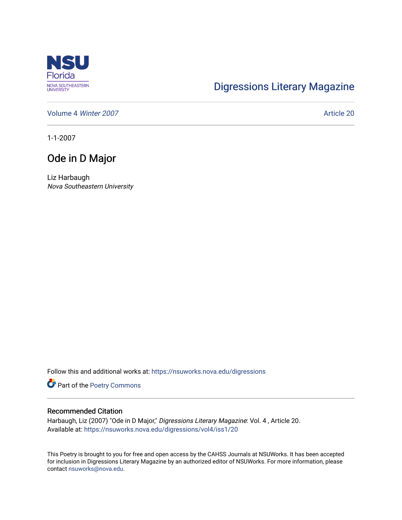

## [Digressions Literary Magazine](https://nsuworks.nova.edu/digressions)

[Volume 4](https://nsuworks.nova.edu/digressions/vol4) Winter 2007 **Article 2007** Article 20

1-1-2007

## Ode in D Major

Liz Harbaugh Nova Southeastern University

Follow this and additional works at: [https://nsuworks.nova.edu/digressions](https://nsuworks.nova.edu/digressions?utm_source=nsuworks.nova.edu%2Fdigressions%2Fvol4%2Fiss1%2F20&utm_medium=PDF&utm_campaign=PDFCoverPages) 

Part of the [Poetry Commons](http://network.bepress.com/hgg/discipline/1153?utm_source=nsuworks.nova.edu%2Fdigressions%2Fvol4%2Fiss1%2F20&utm_medium=PDF&utm_campaign=PDFCoverPages) 

## Recommended Citation

Harbaugh, Liz (2007) "Ode in D Major," Digressions Literary Magazine: Vol. 4 , Article 20. Available at: [https://nsuworks.nova.edu/digressions/vol4/iss1/20](https://nsuworks.nova.edu/digressions/vol4/iss1/20?utm_source=nsuworks.nova.edu%2Fdigressions%2Fvol4%2Fiss1%2F20&utm_medium=PDF&utm_campaign=PDFCoverPages) 

This Poetry is brought to you for free and open access by the CAHSS Journals at NSUWorks. It has been accepted for inclusion in Digressions Literary Magazine by an authorized editor of NSUWorks. For more information, please contact [nsuworks@nova.edu.](mailto:nsuworks@nova.edu)